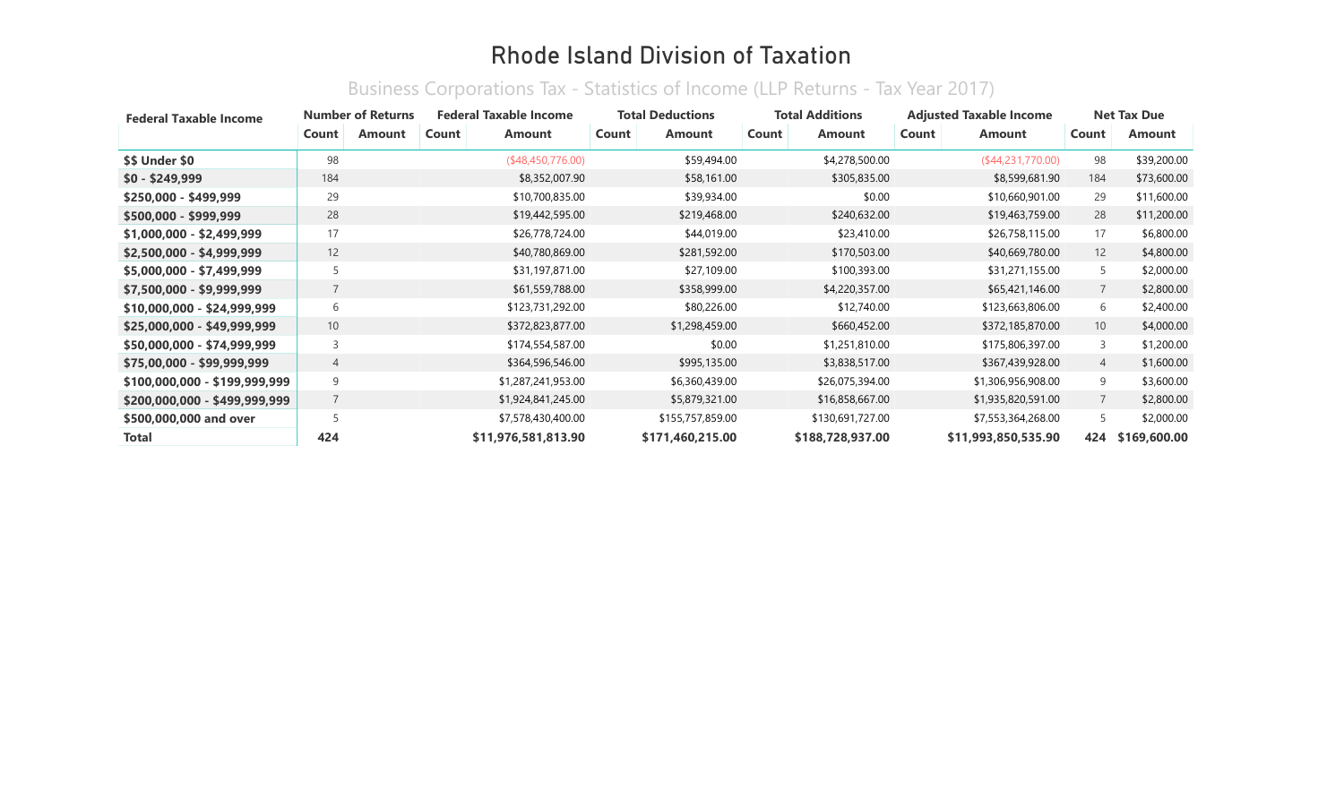| <b>Federal Taxable Income</b> |                | <b>Number of Returns</b> |       | <b>Federal Taxable Income</b> | <b>Total Deductions</b> |                  |       | <b>Total Additions</b> |       | <b>Adjusted Taxable Income</b> |                   | <b>Net Tax Due</b> |
|-------------------------------|----------------|--------------------------|-------|-------------------------------|-------------------------|------------------|-------|------------------------|-------|--------------------------------|-------------------|--------------------|
|                               | Count          | <b>Amount</b>            | Count | <b>Amount</b>                 | Count                   | <b>Amount</b>    | Count | <b>Amount</b>          | Count | <b>Amount</b>                  | Count             | Amount             |
| \$\$ Under \$0                | 98             |                          |       | (\$48,450,776.00)             |                         | \$59,494.00      |       | \$4,278,500.00         |       | (\$44,231,770.00)              | 98                | \$39,200.00        |
| $$0 - $249,999$               | 184            |                          |       | \$8,352,007.90                |                         | \$58,161.00      |       | \$305,835.00           |       | \$8,599,681.90                 | 184               | \$73,600.00        |
| \$250,000 - \$499,999         | 29             |                          |       | \$10,700,835.00               |                         | \$39,934.00      |       | \$0.00                 |       | \$10,660,901.00                | 29                | \$11,600.00        |
| \$500,000 - \$999,999         | 28             |                          |       | \$19,442,595.00               |                         | \$219,468.00     |       | \$240,632.00           |       | \$19,463,759.00                | 28                | \$11,200.00        |
| \$1,000,000 - \$2,499,999     | 17             |                          |       | \$26,778,724.00               |                         | \$44,019.00      |       | \$23,410.00            |       | \$26,758,115.00                | 17                | \$6,800.00         |
| \$2,500,000 - \$4,999,999     | 12             |                          |       | \$40,780,869.00               |                         | \$281,592.00     |       | \$170,503.00           |       | \$40,669,780.00                | $12 \overline{ }$ | \$4,800.00         |
| $$5,000,000 - $7,499,999$     | 5              |                          |       | \$31,197,871.00               |                         | \$27,109.00      |       | \$100,393.00           |       | \$31,271,155.00                | 5                 | \$2,000.00         |
| $$7,500,000 - $9,999,999$     |                |                          |       | \$61,559,788.00               |                         | \$358,999.00     |       | \$4,220,357.00         |       | \$65,421,146.00                | $\overline{7}$    | \$2,800.00         |
| \$10,000,000 - \$24,999,999   | 6              |                          |       | \$123,731,292.00              |                         | \$80,226.00      |       | \$12,740.00            |       | \$123,663,806.00               | 6                 | \$2,400.00         |
| \$25,000,000 - \$49,999,999   | 10             |                          |       | \$372,823,877.00              |                         | \$1,298,459.00   |       | \$660,452.00           |       | \$372,185,870.00               | 10 <sup>°</sup>   | \$4,000.00         |
| \$50,000,000 - \$74,999,999   | 3              |                          |       | \$174,554,587.00              |                         | \$0.00           |       | \$1,251,810.00         |       | \$175,806,397.00               | 3                 | \$1,200.00         |
| \$75,00,000 - \$99,999,999    | 4              |                          |       | \$364,596,546.00              |                         | \$995,135.00     |       | \$3,838,517.00         |       | \$367,439,928.00               | $\overline{4}$    | \$1,600.00         |
| \$100,000,000 - \$199,999,999 | 9              |                          |       | \$1,287,241,953.00            |                         | \$6,360,439.00   |       | \$26,075,394.00        |       | \$1,306,956,908.00             | 9                 | \$3,600.00         |
| \$200,000,000 - \$499,999,999 | $\overline{7}$ |                          |       | \$1,924,841,245.00            |                         | \$5,879,321.00   |       | \$16,858,667.00        |       | \$1,935,820,591.00             | $\overline{7}$    | \$2,800.00         |
| \$500,000,000 and over        |                |                          |       | \$7,578,430,400.00            |                         | \$155,757,859.00 |       | \$130,691,727.00       |       | \$7,553,364,268.00             | 5                 | \$2,000.00         |
| <b>Total</b>                  | 424            |                          |       | \$11,976,581,813.90           |                         | \$171,460,215.00 |       | \$188,728,937.00       |       | \$11,993,850,535.90            | 424               | \$169,600.00       |

#### Business Corporations Tax - Statistics of Income (LLP Returns - Tax Year 2017)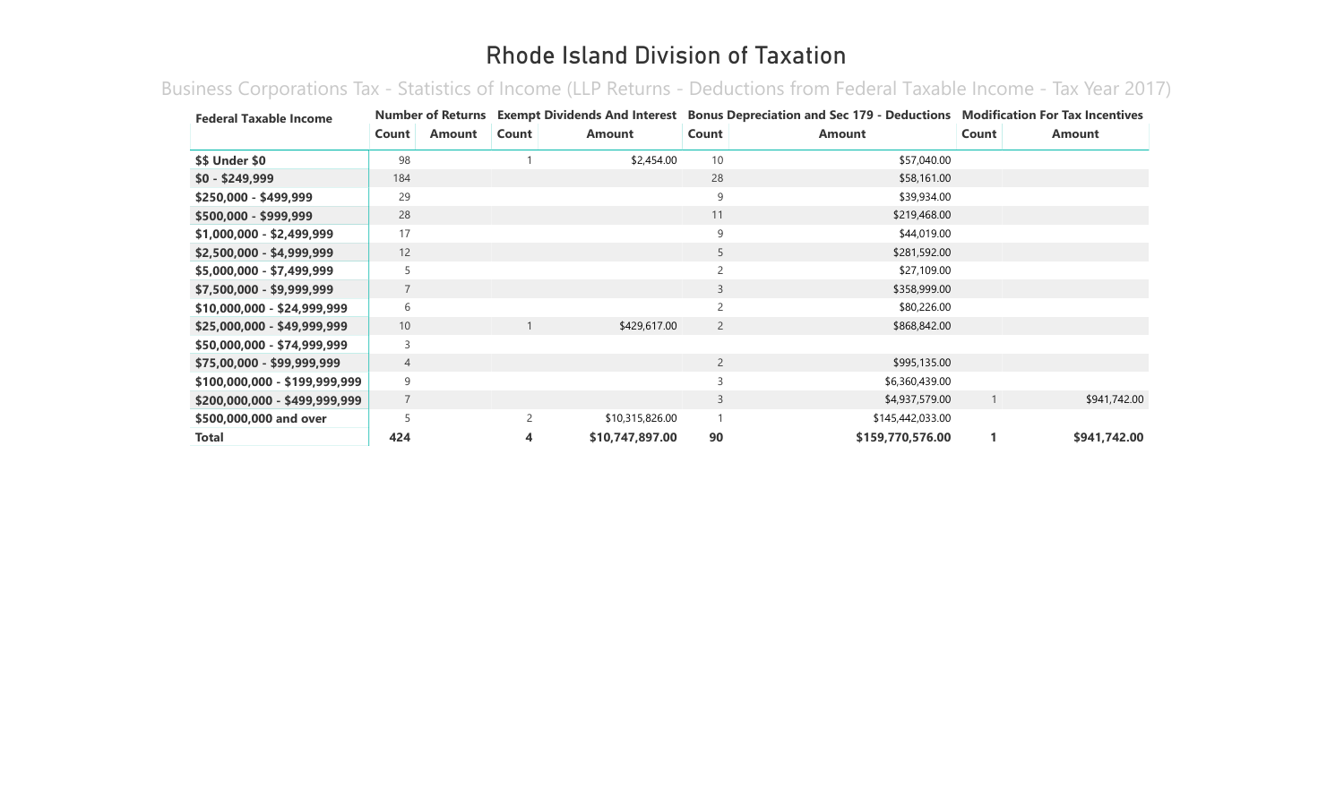Business Corporations Tax - Statistics of Income (LLP Returns - Deductions from Federal Taxable Income - Tax Year 2017)

| <b>Federal Taxable Income</b> |                |               |                          |                 |                | Number of Returns Exempt Dividends And Interest Bonus Depreciation and Sec 179 - Deductions Modification For Tax Incentives |       |              |
|-------------------------------|----------------|---------------|--------------------------|-----------------|----------------|-----------------------------------------------------------------------------------------------------------------------------|-------|--------------|
|                               | Count          | <b>Amount</b> | Count                    | <b>Amount</b>   | Count          | <b>Amount</b>                                                                                                               | Count | Amount       |
| <b>\$\$ Under \$0</b>         | 98             |               |                          | \$2,454.00      | 10             | \$57,040.00                                                                                                                 |       |              |
| $$0 - $249,999$               | 184            |               |                          |                 | 28             | \$58,161.00                                                                                                                 |       |              |
| \$250,000 - \$499,999         | 29             |               |                          |                 | 9              | \$39,934.00                                                                                                                 |       |              |
| \$500,000 - \$999,999         | 28             |               |                          |                 | 11             | \$219,468.00                                                                                                                |       |              |
| \$1,000,000 - \$2,499,999     | 17             |               |                          |                 | 9              | \$44,019.00                                                                                                                 |       |              |
| \$2,500,000 - \$4,999,999     | 12             |               |                          |                 | 5              | \$281,592.00                                                                                                                |       |              |
| \$5,000,000 - \$7,499,999     | 5              |               |                          |                 | $\overline{c}$ | \$27,109.00                                                                                                                 |       |              |
| \$7,500,000 - \$9,999,999     | $\overline{7}$ |               |                          |                 | 3              | \$358,999.00                                                                                                                |       |              |
| \$10,000,000 - \$24,999,999   | 6              |               |                          |                 |                | \$80,226.00                                                                                                                 |       |              |
| \$25,000,000 - \$49,999,999   | 10             |               |                          | \$429,617.00    | $\overline{2}$ | \$868,842.00                                                                                                                |       |              |
| \$50,000,000 - \$74,999,999   | 3              |               |                          |                 |                |                                                                                                                             |       |              |
| \$75,00,000 - \$99,999,999    | 4              |               |                          |                 | $\overline{2}$ | \$995,135.00                                                                                                                |       |              |
| \$100,000,000 - \$199,999,999 | 9              |               |                          |                 | 3              | \$6,360,439.00                                                                                                              |       |              |
| \$200,000,000 - \$499,999,999 | $\overline{7}$ |               |                          |                 | 3              | \$4,937,579.00                                                                                                              |       | \$941,742.00 |
| \$500,000,000 and over        |                |               | $\overline{\phantom{0}}$ | \$10,315,826.00 |                | \$145,442,033.00                                                                                                            |       |              |
| Total                         | 424            |               | 4                        | \$10,747,897.00 | 90             | \$159,770,576.00                                                                                                            |       | \$941,742.00 |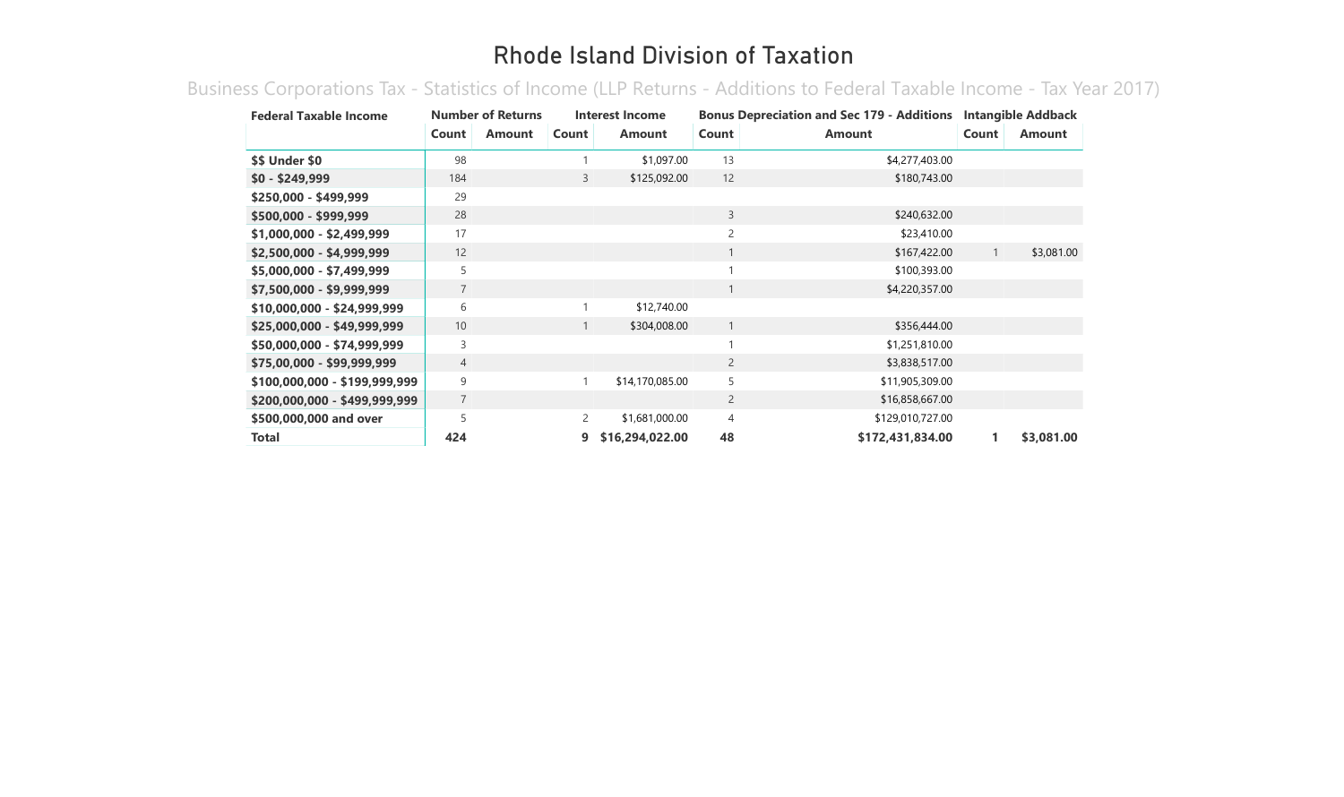Business Corporations Tax - Statistics of Income (LLP Returns - Additions to Federal Taxable Income - Tax Year 2017)

| <b>Federal Taxable Income</b> |                | <b>Number of Returns</b> |              | Interest Income |                | <b>Bonus Depreciation and Sec 179 - Additions</b> |              | <b>Intangible Addback</b> |
|-------------------------------|----------------|--------------------------|--------------|-----------------|----------------|---------------------------------------------------|--------------|---------------------------|
|                               | Count          | <b>Amount</b>            | Count        | <b>Amount</b>   | Count          | <b>Amount</b>                                     | Count        | <b>Amount</b>             |
| \$\$ Under \$0                | 98             |                          |              | \$1,097.00      | 13             | \$4,277,403.00                                    |              |                           |
| $$0 - $249,999$               | 184            |                          | 3            | \$125,092.00    | 12             | \$180,743.00                                      |              |                           |
| $$250,000 - $499,999$         | 29             |                          |              |                 |                |                                                   |              |                           |
| \$500,000 - \$999,999         | 28             |                          |              |                 | 3              | \$240,632.00                                      |              |                           |
| \$1,000,000 - \$2,499,999     | 17             |                          |              |                 | 2              | \$23,410.00                                       |              |                           |
| \$2,500,000 - \$4,999,999     | 12             |                          |              |                 |                | \$167,422.00                                      | $\mathbf{1}$ | \$3,081.00                |
| \$5,000,000 - \$7,499,999     | 5              |                          |              |                 |                | \$100,393.00                                      |              |                           |
| \$7,500,000 - \$9,999,999     | $\overline{7}$ |                          |              |                 |                | \$4,220,357.00                                    |              |                           |
| \$10,000,000 - \$24,999,999   | 6              |                          |              | \$12,740.00     |                |                                                   |              |                           |
| \$25,000,000 - \$49,999,999   | 10             |                          | $\mathbf{1}$ | \$304,008.00    |                | \$356,444.00                                      |              |                           |
| \$50,000,000 - \$74,999,999   | 3              |                          |              |                 |                | \$1,251,810.00                                    |              |                           |
| \$75,00,000 - \$99,999,999    | $\overline{4}$ |                          |              |                 | $\overline{2}$ | \$3,838,517.00                                    |              |                           |
| \$100,000,000 - \$199,999,999 | 9              |                          |              | \$14,170,085.00 | 5              | \$11,905,309.00                                   |              |                           |
| \$200,000,000 - \$499,999,999 | 7              |                          |              |                 | $\overline{2}$ | \$16,858,667.00                                   |              |                           |
| \$500,000,000 and over        | 5              |                          | 2            | \$1,681,000.00  | 4              | \$129,010,727.00                                  |              |                           |
| <b>Total</b>                  | 424            |                          | 9            | \$16,294,022.00 | 48             | \$172,431,834.00                                  |              | \$3,081.00                |